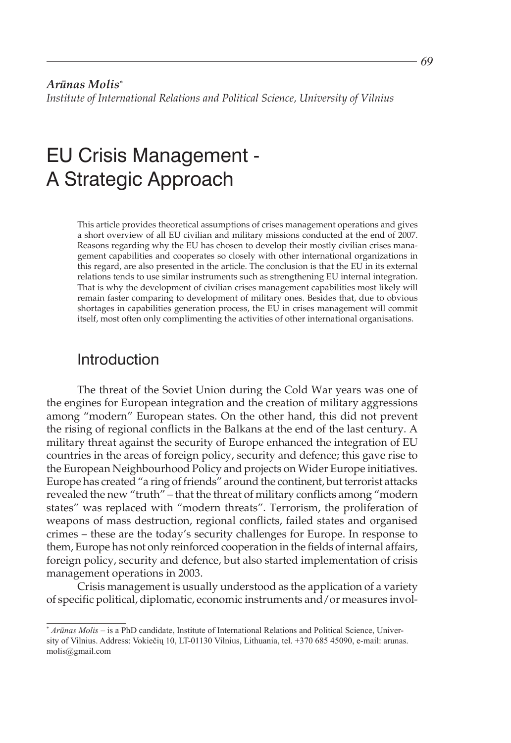# EU Crisis Management - A Strategic Approach

This article provides theoretical assumptions of crises management operations and gives a short overview of all EU civilian and military missions conducted at the end of 2007. Reasons regarding why the EU has chosen to develop their mostly civilian crises management capabilities and cooperates so closely with other international organizations in this regard, are also presented in the article. The conclusion is that the EU in its external relations tends to use similar instruments such as strengthening EU internal integration. That is why the development of civilian crises management capabilities most likely will remain faster comparing to development of military ones. Besides that, due to obvious shortages in capabilities generation process, the EU in crises management will commit itself, most often only complimenting the activities of other international organisations.

# Introduction

The threat of the Soviet Union during the Cold War years was one of the engines for European integration and the creation of military aggressions among "modern" European states. On the other hand, this did not prevent the rising of regional conflicts in the Balkans at the end of the last century. A military threat against the security of Europe enhanced the integration of EU countries in the areas of foreign policy, security and defence; this gave rise to the European Neighbourhood Policy and projects on Wider Europe initiatives. Europe has created "a ring of friends" around the continent, but terrorist attacks revealed the new "truth" – that the threat of military conflicts among "modern states" was replaced with "modern threats". Terrorism, the proliferation of weapons of mass destruction, regional conflicts, failed states and organised crimes – these are the today's security challenges for Europe. In response to them, Europe has not only reinforced cooperation in the fields of internal affairs, foreign policy, security and defence, but also started implementation of crisis management operations in 2003.

Crisis management is usually understood as the application of a variety of specific political, diplomatic, economic instruments and/or measures invol-

<sup>\*</sup> *Arūnas Molis* – is a PhD candidate, Institute of International Relations and Political Science, University of Vilnius. Address: Vokiečių 10, LT-01130 Vilnius, Lithuania, tel. +370 685 45090, e-mail: arunas. molis@gmail.com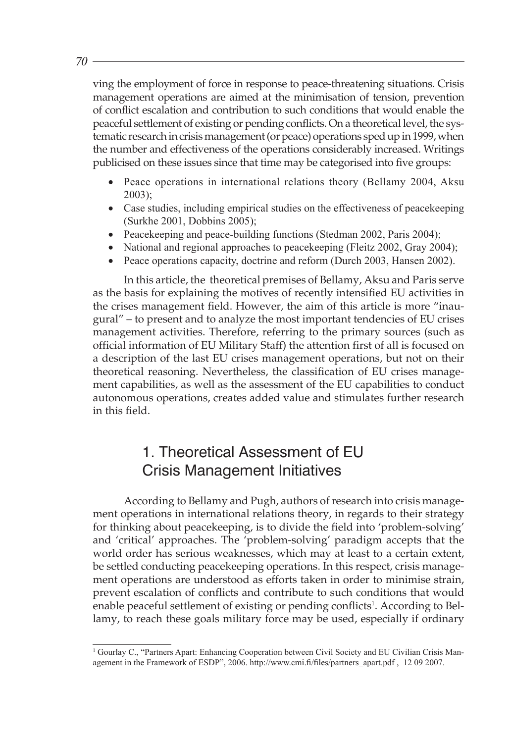ving the employment of force in response to peace-threatening situations. Crisis management operations are aimed at the minimisation of tension, prevention of conflict escalation and contribution to such conditions that would enable the peaceful settlement of existing or pending conflicts. On a theoretical level, the systematic research in crisis management (or peace) operations sped up in 1999, when the number and effectiveness of the operations considerably increased. Writings publicised on these issues since that time may be categorised into five groups:

- Peace operations in international relations theory (Bellamy 2004, Aksu 2003);
- Case studies, including empirical studies on the effectiveness of peacekeeping (Surkhe 2001, Dobbins 2005);
- Peacekeeping and peace-building functions (Stedman 2002, Paris 2004);
- National and regional approaches to peacekeeping (Fleitz 2002, Gray 2004);
- Peace operations capacity, doctrine and reform (Durch 2003, Hansen 2002).

In this article, the theoretical premises of Bellamy, Aksu and Paris serve as the basis for explaining the motives of recently intensified EU activities in the crises management field. However, the aim of this article is more "inaugural" – to present and to analyze the most important tendencies of EU crises management activities. Therefore, referring to the primary sources (such as official information of EU Military Staff) the attention first of all is focused on a description of the last EU crises management operations, but not on their theoretical reasoning. Nevertheless, the classification of EU crises management capabilities, as well as the assessment of the EU capabilities to conduct autonomous operations, creates added value and stimulates further research in this field.

# 1. Theoretical Assessment of EU Crisis Management Initiatives

According to Bellamy and Pugh, authors of research into crisis management operations in international relations theory, in regards to their strategy for thinking about peacekeeping, is to divide the field into 'problem-solving' and 'critical' approaches. The 'problem-solving' paradigm accepts that the world order has serious weaknesses, which may at least to a certain extent, be settled conducting peacekeeping operations. In this respect, crisis management operations are understood as efforts taken in order to minimise strain, prevent escalation of conflicts and contribute to such conditions that would enable peaceful settlement of existing or pending conflicts<sup>1</sup>. According to Bellamy, to reach these goals military force may be used, especially if ordinary

<sup>&</sup>lt;sup>1</sup> Gourlay C., "Partners Apart: Enhancing Cooperation between Civil Society and EU Civilian Crisis Management in the Framework of ESDP", 2006. http://www.cmi.fi/files/partners\_apart.pdf , 12 09 2007.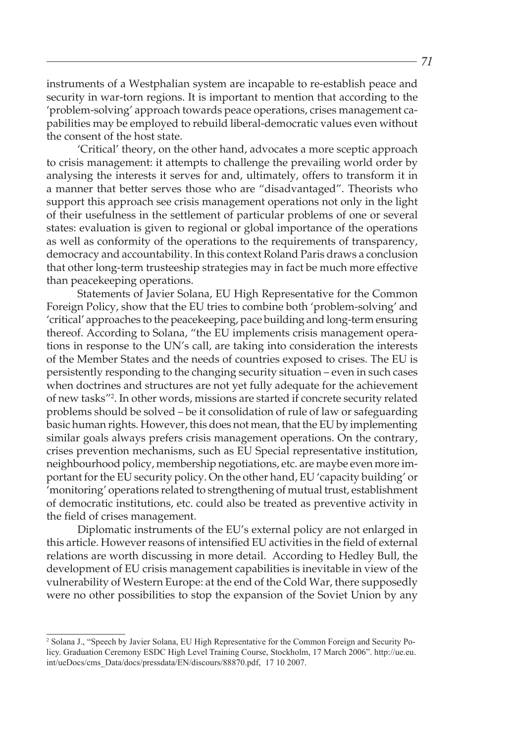instruments of a Westphalian system are incapable to re-establish peace and security in war-torn regions. It is important to mention that according to the 'problem-solving' approach towards peace operations, crises management capabilities may be employed to rebuild liberal-democratic values even without the consent of the host state.

'Critical' theory, on the other hand, advocates a more sceptic approach to crisis management: it attempts to challenge the prevailing world order by analysing the interests it serves for and, ultimately, offers to transform it in a manner that better serves those who are "disadvantaged". Theorists who support this approach see crisis management operations not only in the light of their usefulness in the settlement of particular problems of one or several states: evaluation is given to regional or global importance of the operations as well as conformity of the operations to the requirements of transparency, democracy and accountability. In this context Roland Paris draws a conclusion that other long-term trusteeship strategies may in fact be much more effective than peacekeeping operations.

Statements of Javier Solana, EU High Representative for the Common Foreign Policy, show that the EU tries to combine both 'problem-solving' and 'critical' approaches to the peacekeeping, pace building and long-term ensuring thereof. According to Solana, "the EU implements crisis management operations in response to the UN's call, are taking into consideration the interests of the Member States and the needs of countries exposed to crises. The EU is persistently responding to the changing security situation – even in such cases when doctrines and structures are not yet fully adequate for the achievement of new tasks"2 . In other words, missions are started if concrete security related problems should be solved – be it consolidation of rule of law or safeguarding basic human rights. However, this does not mean, that the EU by implementing similar goals always prefers crisis management operations. On the contrary, crises prevention mechanisms, such as EU Special representative institution, neighbourhood policy, membership negotiations, etc. are maybe even more important for the EU security policy. On the other hand, EU 'capacity building' or 'monitoring' operations related to strengthening of mutual trust, establishment of democratic institutions, etc. could also be treated as preventive activity in the field of crises management.

Diplomatic instruments of the EU's external policy are not enlarged in this article. However reasons of intensified EU activities in the field of external relations are worth discussing in more detail. According to Hedley Bull, the development of EU crisis management capabilities is inevitable in view of the vulnerability of Western Europe: at the end of the Cold War, there supposedly were no other possibilities to stop the expansion of the Soviet Union by any

<sup>&</sup>lt;sup>2</sup> Solana J., "Speech by Javier Solana, EU High Representative for the Common Foreign and Security Policy. Graduation Ceremony ESDC High Level Training Course, Stockholm, 17 March 2006". http://ue.eu. int/ueDocs/cms\_Data/docs/pressdata/EN/discours/88870.pdf, 17 10 2007.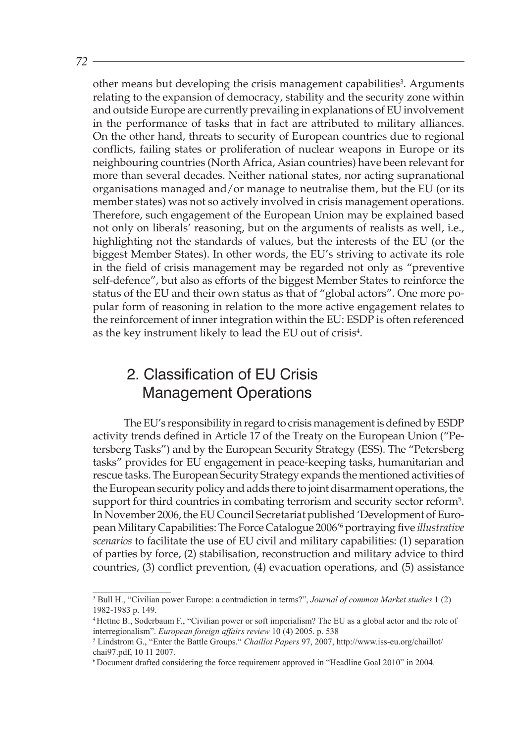other means but developing the crisis management capabilities<sup>3</sup>. Arguments relating to the expansion of democracy, stability and the security zone within and outside Europe are currently prevailing in explanations of EU involvement in the performance of tasks that in fact are attributed to military alliances. On the other hand, threats to security of European countries due to regional conflicts, failing states or proliferation of nuclear weapons in Europe or its neighbouring countries (North Africa, Asian countries) have been relevant for more than several decades. Neither national states, nor acting supranational organisations managed and/or manage to neutralise them, but the EU (or its member states) was not so actively involved in crisis management operations. Therefore, such engagement of the European Union may be explained based not only on liberals' reasoning, but on the arguments of realists as well, i.e., highlighting not the standards of values, but the interests of the EU (or the biggest Member States). In other words, the EU's striving to activate its role in the field of crisis management may be regarded not only as "preventive self-defence", but also as efforts of the biggest Member States to reinforce the status of the EU and their own status as that of "global actors". One more popular form of reasoning in relation to the more active engagement relates to the reinforcement of inner integration within the EU: ESDP is often referenced as the key instrument likely to lead the EU out of crisis $4$ .

# 2. Classification of EU Crisis Management Operations

The EU's responsibility in regard to crisis management is defined by ESDP activity trends defined in Article 17 of the Treaty on the European Union ("Petersberg Tasks") and by the European Security Strategy (ESS). The "Petersberg tasks" provides for EU engagement in peace-keeping tasks, humanitarian and rescue tasks. The European Security Strategy expands the mentioned activities of the European security policy and adds there to joint disarmament operations, the support for third countries in combating terrorism and security sector reform<sup>5</sup>. In November 2006, the EU Council Secretariat published 'Development of European Military Capabilities: The Force Catalogue 2006'6 portraying five *illustrative scenarios* to facilitate the use of EU civil and military capabilities: (1) separation of parties by force, (2) stabilisation, reconstruction and military advice to third countries, (3) conflict prevention, (4) evacuation operations, and (5) assistance

<sup>&</sup>lt;sup>3</sup> Bull H., "Civilian power Europe: a contradiction in terms?", *Journal of common Market studies* 1 (2) 1982-1983 p. 149.

Hettne B., Soderbaum F., "Civilian power or soft imperialism? The EU as a global actor and the role of interregionalism". *European foreign affairs review* 10 (4) 2005. p. 538

Lindstrom G., "Enter the Battle Groups." *Chaillot Papers* 97, 2007, http://www.iss-eu.org/chaillot/ chai97.pdf, 10 11 2007.

Document drafted considering the force requirement approved in "Headline Goal 2010" in 2004.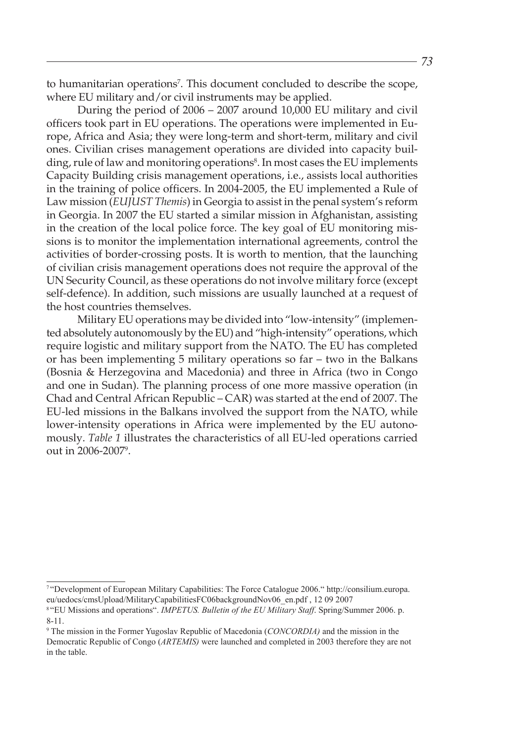to humanitarian operations<sup>7</sup>. This document concluded to describe the scope, where EU military and/or civil instruments may be applied.

During the period of 2006 – 2007 around 10,000 EU military and civil officers took part in EU operations. The operations were implemented in Europe, Africa and Asia; they were long-term and short-term, military and civil ones. Civilian crises management operations are divided into capacity building, rule of law and monitoring operations $^{\rm 8}$ . In most cases the EU implements Capacity Building crisis management operations, i.e., assists local authorities in the training of police officers. In 2004-2005, the EU implemented a Rule of Law mission (*EUJUST Themis*) in Georgia to assist in the penal system's reform in Georgia. In 2007 the EU started a similar mission in Afghanistan, assisting in the creation of the local police force. The key goal of EU monitoring missions is to monitor the implementation international agreements, control the activities of border-crossing posts. It is worth to mention, that the launching of civilian crisis management operations does not require the approval of the UN Security Council, as these operations do not involve military force (except self-defence). In addition, such missions are usually launched at a request of the host countries themselves.

Military EU operations may be divided into "low-intensity" (implemented absolutely autonomously by the EU) and "high-intensity" operations, which require logistic and military support from the NATO. The EU has completed or has been implementing 5 military operations so far – two in the Balkans (Bosnia & Herzegovina and Macedonia) and three in Africa (two in Congo and one in Sudan). The planning process of one more massive operation (in Chad and Central African Republic – CAR) was started at the end of 2007. The EU-led missions in the Balkans involved the support from the NATO, while lower-intensity operations in Africa were implemented by the EU autonomously. *Table 1* illustrates the characteristics of all EU-led operations carried out in 2006-20079 .

<sup>&</sup>quot;Development of European Military Capabilities: The Force Catalogue 2006." http://consilium.europa. eu/uedocs/cmsUpload/MilitaryCapabilitiesFC06backgroundNov06\_en.pdf , 12 09 2007

<sup>&</sup>quot;EU Missions and operations". *IMPETUS. Bulletin of the EU Military Staff*. Spring/Summer 2006. p. 8-11.

The mission in the Former Yugoslav Republic of Macedonia (*CONCORDIA)* and the mission in the Democratic Republic of Congo (*ARTEMIS)* were launched and completed in 2003 therefore they are not in the table.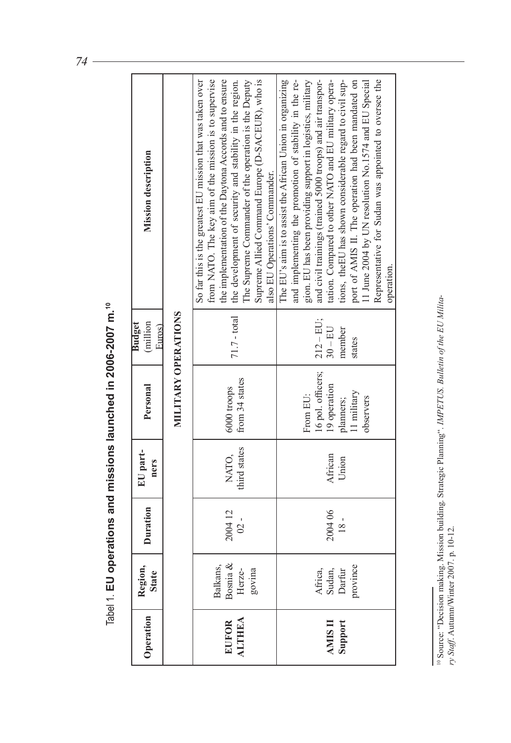<sup>&</sup>lt;sup>10</sup> Source: "Decision making. Mission building. Strategic Planning". *IMPETUS. Bulletin of the EU Military.* Staff. Autumn/Winter 2007. p. 10-12. 10 Source: "Decision making. Mission building. Strategic Planning". *IMPETUS. Bulletin of the EU Military Staff*. Autumn/Winter 2007. p. 10-12.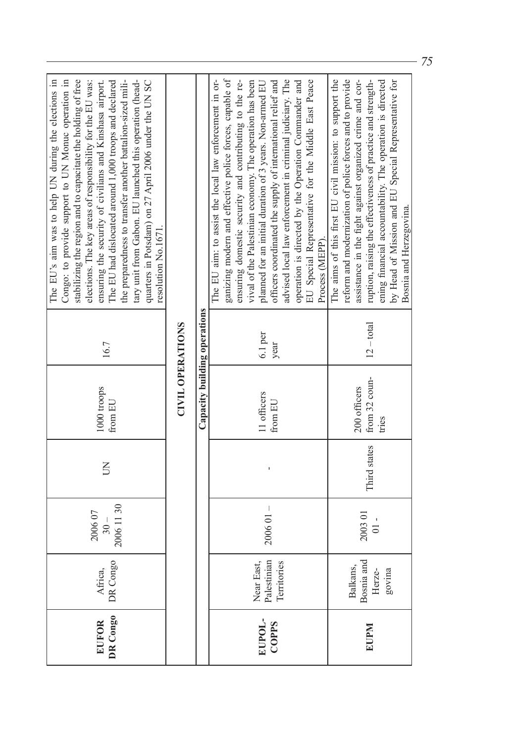| DR Congo<br>EUFOR      | DR Congo<br>Africa,                        | 2006 11 30<br>200607<br>$-0.5$ | $\overline{\mathsf{S}}$ | 1000 troops<br>from EU                 | 16.7              | The EU's aim was to help UN during the elections in<br>stabilizing the region and to capacitate the holding of free<br>Congo: to provide support to UN Monuc operation in<br>tary unit from Gabon. EU launched this operation (head-<br>The EU had dislocated around 1,000 troops and declared<br>the preparedness to transfer another battalion-sized mili-<br>quarters in Potsdam) on 27 April 2006 under the UN SC<br>elections. The key areas of responsibility for the EU was:<br>ensuring the security of civilians and Kinshasa airport.<br>resolution No.1671. |
|------------------------|--------------------------------------------|--------------------------------|-------------------------|----------------------------------------|-------------------|------------------------------------------------------------------------------------------------------------------------------------------------------------------------------------------------------------------------------------------------------------------------------------------------------------------------------------------------------------------------------------------------------------------------------------------------------------------------------------------------------------------------------------------------------------------------|
|                        |                                            |                                |                         | <b>CIVIL OPERATIONS</b>                |                   |                                                                                                                                                                                                                                                                                                                                                                                                                                                                                                                                                                        |
|                        |                                            |                                |                         | Capacity building operations           |                   |                                                                                                                                                                                                                                                                                                                                                                                                                                                                                                                                                                        |
| EUPOL-<br><b>COPPS</b> | Near East,<br>Palestinian<br>Territories   | $200601 -$                     |                         | 11 officers<br>from EU                 | $6.1$ per<br>year | ganizing modern and effective police forces, capable of<br>ensuring domestic security and contributing to the re-<br>vival of the Palestinian economy. The operation has been<br>advised local law enforcement in criminal judiciary. The<br>The EU aim: to assist the local law enforcement in or-<br>officers coordinated the supply of international relief and<br>operation is directed by the Operation Commander and<br>EU Special Representative for the Middle East Peace<br>planned for an initial duration of 3 years. Non-armed EU<br>Process (MEPP).       |
| <b>EUPM</b>            | Bosnia and<br>Balkans,<br>Herze-<br>govina | 2003 01<br>$\overline{0}$ .    | Third states            | from 32 coun-<br>200 officers<br>tries | $12 - total$      | reform and modernization of police forces and to provide<br>The aims of this first EU civil mission: to support the<br>assistance in the fight against organized crime and cor-<br>ruption, raising the effectiveness of practice and strength-<br>ening financial accountability. The operation is directed<br>by Head of Mission and EU Special Representative for<br>Bosnia and Herzegovina.                                                                                                                                                                        |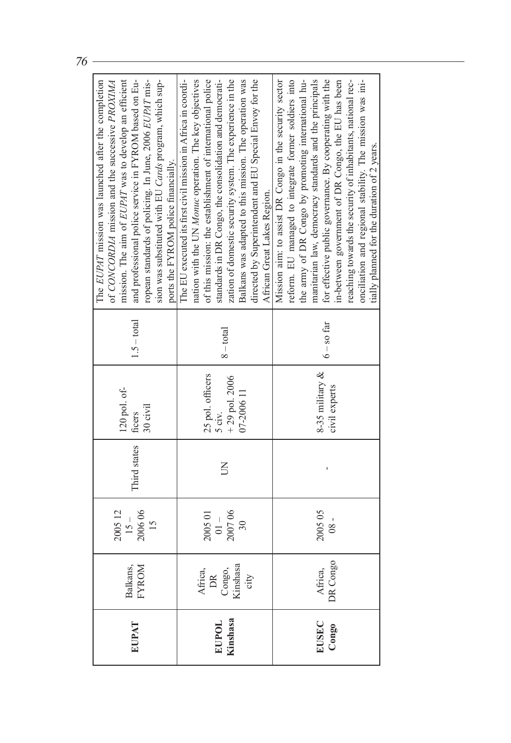|                   |                                             |                  |                |                    |               | The EUPAT mission was launched after the completion          |
|-------------------|---------------------------------------------|------------------|----------------|--------------------|---------------|--------------------------------------------------------------|
|                   |                                             |                  |                |                    |               | of CONCORDIA mission and the successive PROXIMA              |
|                   |                                             | 200512           |                | 120 pol. of-       |               | mission. The aim of EUPAT was to develop an efficient        |
| EUPAT             | Balkans,<br>FYROM                           | 200606<br>$15 -$ | Third states   | ficers             | $1.5 - total$ | and professional police service in FYROM based on Eu-        |
|                   |                                             | 15               |                | 30 civil           |               | ropean standards of policing. In June, 2006 EUPAT mis-       |
|                   |                                             |                  |                |                    |               | sion was substituted with EU Cards program, which sup-       |
|                   |                                             |                  |                |                    |               | ports the FYROM police financially.                          |
|                   |                                             |                  |                |                    |               | The EU executed its first civil mission in Africa in coordi- |
|                   |                                             |                  |                |                    |               | nation with the UN Monuc operation. The key objectives       |
|                   |                                             | 2005 01          |                | 25 pol. officers   |               | of this mission: the establishment of international police   |
| EUPOL<br>Kinshasa | Africa,<br>DR<br>Congo,<br>Kinshasa<br>city | $-10$            |                | $5 \text{ civ}$ .  | $8 - total$   | standards in DR Congo, the consolidation and democrati-      |
|                   |                                             | 200706           | $\overline{5}$ | $+29$ pol. 2006    |               | zation of domestic security system. The experience in the    |
|                   |                                             | $\approx$        |                | 07-2006 11         |               | Balkans was adapted to this mission. The operation was       |
|                   |                                             |                  |                |                    |               | directed by Superintendent and EU Special Envoy for the      |
|                   |                                             |                  |                |                    |               | African Great Lakes Region.                                  |
|                   |                                             |                  |                |                    |               | Mission aim: to assist DR Congo in the security sector       |
|                   |                                             |                  |                |                    |               | reform. EU managed to integrate former soldiers into         |
|                   |                                             |                  |                |                    |               | the army of DR Congo by promoting international hu-          |
|                   |                                             | 200505           |                | 8-35 military $\&$ |               | manitarian law, democracy standards and the principals       |
| EUSEC<br>Congo    | Africa,<br>DR Congo                         | $-80$            |                |                    | $6 -$ so far  | for effective public governance. By cooperating with the     |
|                   |                                             |                  |                | civil experts      |               | in-between government of DR Congo, the EU has been           |
|                   |                                             |                  |                |                    |               | reaching towards the security of inhabitants, national rec-  |
|                   |                                             |                  |                |                    |               | onciliation and regional stability. The mission was ini-     |
|                   |                                             |                  |                |                    |               | tially planned for the duration of 2 years.                  |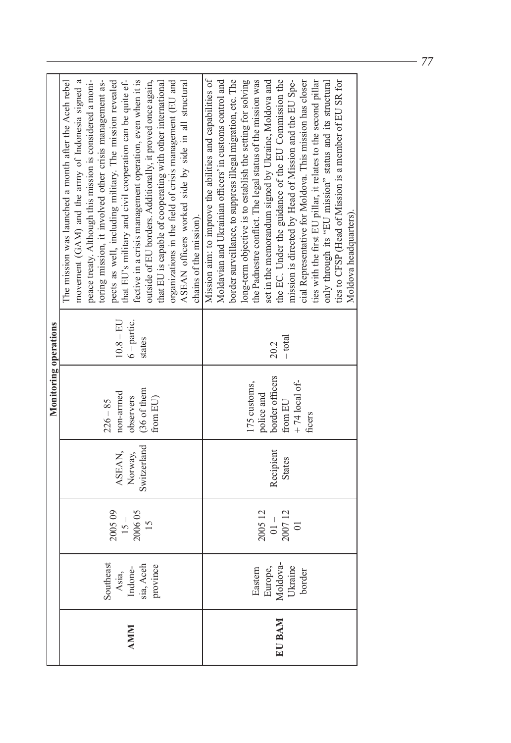|            |                                                        |                                                |                                  | Monitoring operations                                                               |                                        |                                                                                                                                                                                                                                                                                                                                                                                                                                                                                                                                                                                                                                                                                                                                                                           |
|------------|--------------------------------------------------------|------------------------------------------------|----------------------------------|-------------------------------------------------------------------------------------|----------------------------------------|---------------------------------------------------------------------------------------------------------------------------------------------------------------------------------------------------------------------------------------------------------------------------------------------------------------------------------------------------------------------------------------------------------------------------------------------------------------------------------------------------------------------------------------------------------------------------------------------------------------------------------------------------------------------------------------------------------------------------------------------------------------------------|
| <b>AMM</b> | Southeast<br>Asia,<br>Indone-<br>sia, Aceh<br>province | 200509<br>200605<br>$15 -$<br>$\frac{15}{2}$   | Switzerland<br>ASEAN,<br>Norway, | (36 of them<br>non-armed<br>from $EU$<br>observers<br>$226 - 85$                    | $10.8 - EU$<br>$6$ – partic.<br>states | peace treaty. Although this mission is considered a moni-<br>that EU's military and civil cooperation can be quite ef-<br>movement (GAM) and the army of Indonesia signed a<br>pects as well, including military. The mission revealed<br>fective in a crisis management operation, even when it is<br>organizations in the field of crisis management (EU and<br>ASEAN officers worked side by side in all structural<br>The mission was launched a month after the Aceh rebel<br>toring mission, it involved other crisis management as-<br>that EU is capable of cooperating with other international<br>outside of EU borders. Additionally, it proved once again,<br>chains of the mission).                                                                         |
| EU BAM     | Eastern<br>Europe,<br>Moldova-<br>Ukraine<br>border    | 200512<br>200712<br>$-1$<br>$\overline{\circ}$ | Recipient<br><b>States</b>       | border officers<br>+74 local of-<br>175 customs,<br>police and<br>from EU<br>ficers | $-$ total<br>20.2                      | Mission aim: to improve the abilities and capabilities of<br>Moldavian and Ukrainian officers' in customs control and<br>border surveillance, to suppress illegal migration, etc. The<br>the Padnestre conflict. The legal status of the mission was<br>the EC. Under the guidance of the EU Commission the<br>mission is directed by Head of Mission and the EU Spe-<br>ties with the first EU pillar, it relates to the second pillar<br>ties to CFSP (Head of Mission is a member of EU SR for<br>long-term objective is to establish the setting for solving<br>set in the memorandum signed by Ukraine, Moldova and<br>cial Representative for Moldova. This mission has closer<br>only through its "EU mission" status and its structural<br>Moldova headquarters). |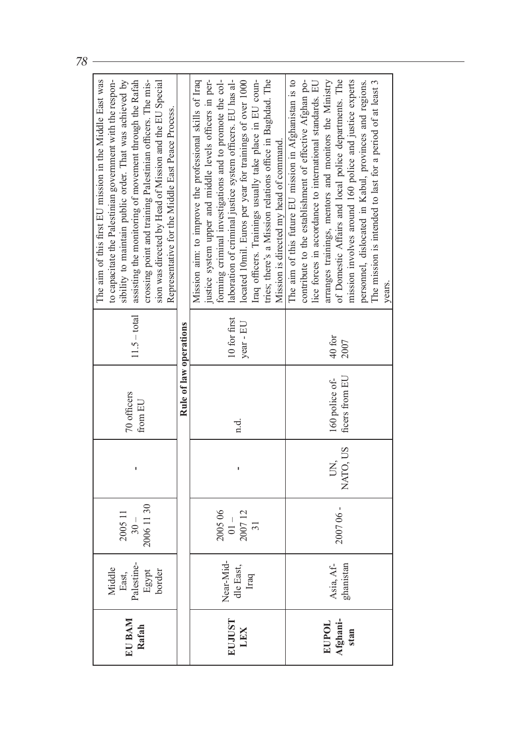|                   | Middle                                 |                   |          |                        |                | The aim of this first EU mission in the Middle East was<br>to capacitate the Palestinian government with the respon-  |
|-------------------|----------------------------------------|-------------------|----------|------------------------|----------------|-----------------------------------------------------------------------------------------------------------------------|
| EU BAM<br>Rafah   | East,<br>Palestine-<br>Egypt<br>border | 2005 11<br>$30 -$ | ı        | 70 officers<br>from EU | $11.5 - total$ | sibility to maintain public order. That was achieved by<br>assisting the monitoring of movement through the Rafah     |
|                   |                                        | 2006 11 30        |          |                        |                | crossing point and training Palestinian officers. The mis-<br>sion was directed by Head of Mission and the EU Special |
|                   |                                        |                   |          |                        |                | Representative for the Middle East Peace Process.                                                                     |
|                   |                                        |                   |          | Rule of law operations |                |                                                                                                                       |
|                   |                                        |                   |          |                        |                | Mission aim: to improve the professional skills of Iraq                                                               |
|                   |                                        |                   |          |                        |                | justice system upper and middle levels officers in per-                                                               |
|                   |                                        | 200506            |          |                        |                | forming criminal investigations and to promote the col-                                                               |
| EUJUST            |                                        | $-10$             |          |                        | 10 for first   | laboration of criminal justice system officers. EU has al-                                                            |
| LEX               | Near-Mid-<br>dle East,<br>Iraq         | 200712            | ı        | n.d.                   | year - EU      | located 10mil. Euros per year for trainings of over 1000                                                              |
|                   |                                        | 31                |          |                        |                | Iraq officers. Trainings usually take place in EU coun-                                                               |
|                   |                                        |                   |          |                        |                | tries; there's a Mission relations office in Baghdad. The                                                             |
|                   |                                        |                   |          |                        |                | Mission is directed my head of command.                                                                               |
|                   |                                        |                   |          |                        |                | The aim of this future EU mission in Afghanistan is to                                                                |
|                   |                                        |                   |          |                        |                | contribute to the establishment of effective Afghan po-                                                               |
|                   |                                        |                   |          |                        |                | lice forces in accordance to international standards. EU                                                              |
| EUPOL<br>Afghani- | Asia, Af-                              |                   | Š,       | 160 police of-         | 40 for         | arranges trainings, mentors and monitors the Ministry                                                                 |
|                   | ghanistan                              | 200706-           | NATO, US | ficers from EU         | 2007           | of Domestic Affairs and local police departments. The                                                                 |
| stan              |                                        |                   |          |                        |                | mission involves around 160 police and justice experts                                                                |
|                   |                                        |                   |          |                        |                | personnel, dislocated in Kabul, provinces and regions.                                                                |
|                   |                                        |                   |          |                        |                | The mission is intended to last for a period of at least 3                                                            |
|                   |                                        |                   |          |                        |                | vears.                                                                                                                |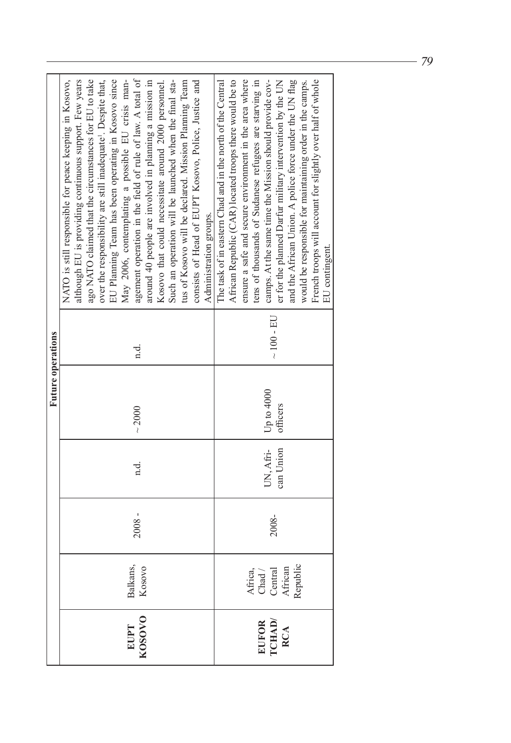|                        |                                                    |          |                        | Future operations      |                 |                                                                                                                                                                                                                                                                                                                                                                                                                                                                                                                                                                                                                                                                                                                                                         |
|------------------------|----------------------------------------------------|----------|------------------------|------------------------|-----------------|---------------------------------------------------------------------------------------------------------------------------------------------------------------------------------------------------------------------------------------------------------------------------------------------------------------------------------------------------------------------------------------------------------------------------------------------------------------------------------------------------------------------------------------------------------------------------------------------------------------------------------------------------------------------------------------------------------------------------------------------------------|
| EUPT<br>KOSOVO         | Balkans,<br>Kosovo                                 | $2008 -$ | n.d.                   | ~1000                  | d.              | agement operation in the field of rule of law. A total of<br>around 40 people are involved in planning a mission in<br>NATO is still responsible for peace keeping in Kosovo,<br>although EU is providing continuous support. Few years<br>May 2006, contemplating a possible EU crisis man-<br>Kosovo that could necessitate around 2000 personnel.<br>consists of Head of EUPT Kosovo, Police, Justice and<br>ago NATO claimed that the circumstances for EU to take<br>EU Planning Team has been operating in Kosovo since<br>Such an operation will be launched when the final sta-<br>over the responsibility are still inadequate <sup>1</sup> . Despite that,<br>tus of Kosovo will be declared. Mission Planning Team<br>Administration groups. |
| EUFOR<br>ICHAD/<br>RCA | Africa,<br>Chad /<br>Central<br>African<br>African | 2008-    | UN, Afri-<br>can Union | Up to 4000<br>officers | $\sim 100$ - EU | African Republic (CAR) located troops there would be to<br>tens of thousands of Sudanese refugees are starving in<br>camps. At the same time the Mission should provide cov-<br>The task of in eastern Chad and in the north of the Central<br>ensure a safe and secure environment in the area where<br>er for the planned Darfur military intervention by the UN<br>and the African Union. A police force under the UN flag<br>French troops will account for slightly over half of whole<br>would be responsible for maintaining order in the camps.<br>EU contingent                                                                                                                                                                                |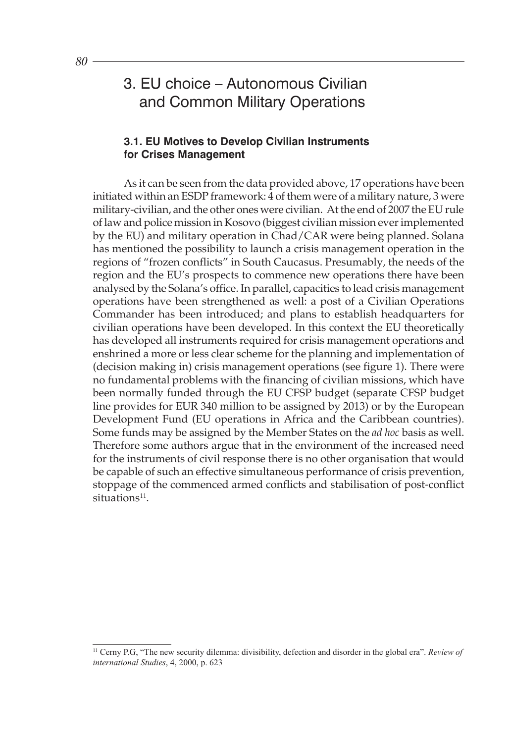# 3. EU choice – Autonomous Civilian and Common Military Operations

### **3.1. EU Motives to Develop Civilian Instruments for Crises Management**

As it can be seen from the data provided above, 17 operations have been initiated within an ESDP framework: 4 of them were of a military nature, 3 were military-civilian, and the other ones were civilian. At the end of 2007 the EU rule of law and police mission in Kosovo (biggest civilian mission ever implemented by the EU) and military operation in Chad/CAR were being planned. Solana has mentioned the possibility to launch a crisis management operation in the regions of "frozen conflicts" in South Caucasus. Presumably, the needs of the region and the EU's prospects to commence new operations there have been analysed by the Solana's office. In parallel, capacities to lead crisis management operations have been strengthened as well: a post of a Civilian Operations Commander has been introduced; and plans to establish headquarters for civilian operations have been developed. In this context the EU theoretically has developed all instruments required for crisis management operations and enshrined a more or less clear scheme for the planning and implementation of (decision making in) crisis management operations (see figure 1). There were no fundamental problems with the financing of civilian missions, which have been normally funded through the EU CFSP budget (separate CFSP budget line provides for EUR 340 million to be assigned by 2013) or by the European Development Fund (EU operations in Africa and the Caribbean countries). Some funds may be assigned by the Member States on the *ad hoc* basis as well. Therefore some authors argue that in the environment of the increased need for the instruments of civil response there is no other organisation that would be capable of such an effective simultaneous performance of crisis prevention, stoppage of the commenced armed conflicts and stabilisation of post-conflict  $situations<sup>11</sup>$ .

<sup>11</sup> Cerny P.G, "The new security dilemma: divisibility, defection and disorder in the global era". *Review of international Studies*, 4, 2000, p. 623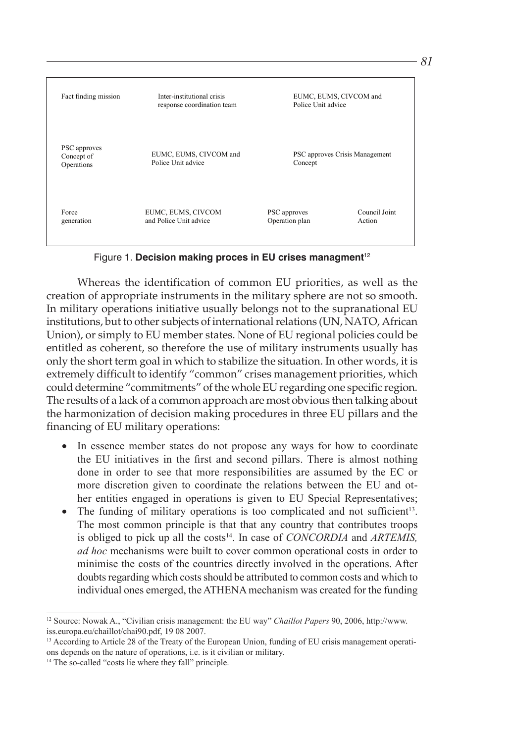

Figure 1. Decision making proces in EU crises managment<sup>12</sup>

Whereas the identification of common EU priorities, as well as the creation of appropriate instruments in the military sphere are not so smooth. In military operations initiative usually belongs not to the supranational EU institutions, but to other subjects of international relations (UN, NATO, African Union), or simply to EU member states. None of EU regional policies could be entitled as coherent, so therefore the use of military instruments usually has only the short term goal in which to stabilize the situation. In other words, it is extremely difficult to identify "common" crises management priorities, which could determine "commitments" of the whole EU regarding one specific region. The results of a lack of a common approach are most obvious then talking about the harmonization of decision making procedures in three EU pillars and the financing of EU military operations:

- In essence member states do not propose any ways for how to coordinate the EU initiatives in the first and second pillars. There is almost nothing done in order to see that more responsibilities are assumed by the EC or more discretion given to coordinate the relations between the EU and other entities engaged in operations is given to EU Special Representatives;
- The funding of military operations is too complicated and not sufficient<sup>13</sup>. The most common principle is that that any country that contributes troops is obliged to pick up all the costs<sup>14</sup>. In case of *CONCORDIA* and *ARTEMIS*, *ad hoc* mechanisms were built to cover common operational costs in order to minimise the costs of the countries directly involved in the operations. After doubts regarding which costs should be attributed to common costs and which to individual ones emerged, the ATHENA mechanism was created for the funding

<sup>12</sup> Source: Nowak A., "Civilian crisis management: the EU way" *Chaillot Papers* 90, 2006, http://www. iss.europa.eu/chaillot/chai90.pdf, 19 08 2007.

<sup>&</sup>lt;sup>13</sup> According to Article 28 of the Treaty of the European Union, funding of EU crisis management operations depends on the nature of operations, i.e. is it civilian or military.

<sup>&</sup>lt;sup>14</sup> The so-called "costs lie where they fall" principle.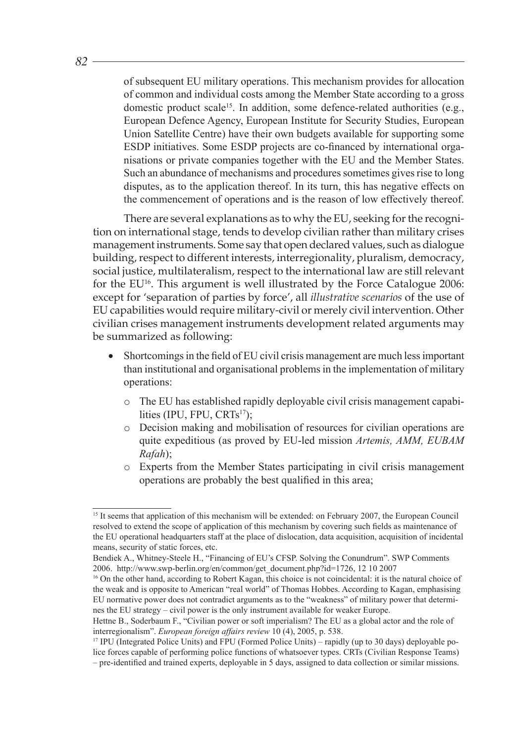of subsequent EU military operations. This mechanism provides for allocation of common and individual costs among the Member State according to a gross domestic product scale<sup>15</sup>. In addition, some defence-related authorities (e.g., European Defence Agency, European Institute for Security Studies, European Union Satellite Centre) have their own budgets available for supporting some ESDP initiatives. Some ESDP projects are co-financed by international organisations or private companies together with the EU and the Member States. Such an abundance of mechanisms and procedures sometimes gives rise to long disputes, as to the application thereof. In its turn, this has negative effects on the commencement of operations and is the reason of low effectively thereof.

There are several explanations as to why the EU, seeking for the recognition on international stage, tends to develop civilian rather than military crises management instruments. Some say that open declared values, such as dialogue building, respect to different interests, interregionality, pluralism, democracy, social justice, multilateralism, respect to the international law are still relevant for the EU<sup>16</sup>. This argument is well illustrated by the Force Catalogue 2006: except for 'separation of parties by force', all *illustrative scenarios* of the use of EU capabilities would require military-civil or merely civil intervention. Other civilian crises management instruments development related arguments may be summarized as following:

- Shortcomings in the field of EU civil crisis management are much less important than institutional and organisational problems in the implementation of military operations:
	- o The EU has established rapidly deployable civil crisis management capabilities (IPU, FPU, CRTs<sup>17</sup>);
	- o Decision making and mobilisation of resources for civilian operations are quite expeditious (as proved by EU-led mission *Artemis, AMM, EUBAM Rafah*);
	- o Experts from the Member States participating in civil crisis management operations are probably the best qualified in this area;

<sup>&</sup>lt;sup>15</sup> It seems that application of this mechanism will be extended: on February 2007, the European Council resolved to extend the scope of application of this mechanism by covering such fields as maintenance of the EU operational headquarters staff at the place of dislocation, data acquisition, acquisition of incidental means, security of static forces, etc.

Bendiek A., Whitney-Steele H., "Financing of EU's CFSP. Solving the Conundrum". SWP Comments 2006. http://www.swp-berlin.org/en/common/get\_document.php?id=1726, 12 10 2007

<sup>16</sup> On the other hand, according to Robert Kagan, this choice is not coincidental: it is the natural choice of the weak and is opposite to American "real world" of Thomas Hobbes. According to Kagan, emphasising EU normative power does not contradict arguments as to the "weakness" of military power that determines the EU strategy – civil power is the only instrument available for weaker Europe.

Hettne B., Soderbaum F., "Civilian power or soft imperialism? The EU as a global actor and the role of interregionalism". *European foreign affairs review* 10 (4), 2005, p. 538.

<sup>17</sup> IPU (Integrated Police Units) and FPU (Formed Police Units) – rapidly (up to 30 days) deployable police forces capable of performing police functions of whatsoever types. CRTs (Civilian Response Teams) – pre-identified and trained experts, deployable in 5 days, assigned to data collection or similar missions.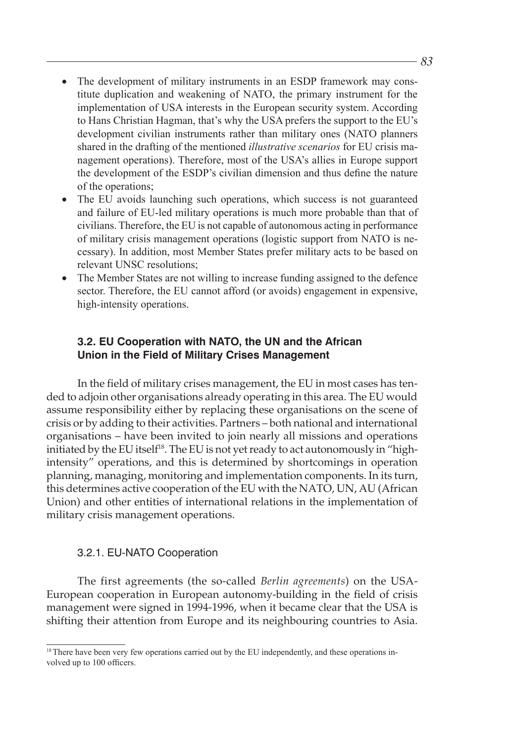- The development of military instruments in an ESDP framework may constitute duplication and weakening of NATO, the primary instrument for the implementation of USA interests in the European security system. According to Hans Christian Hagman, that's why the USA prefers the support to the EU's development civilian instruments rather than military ones (NATO planners shared in the drafting of the mentioned *illustrative scenarios* for EU crisis management operations). Therefore, most of the USA's allies in Europe support the development of the ESDP's civilian dimension and thus define the nature of the operations;
- The EU avoids launching such operations, which success is not guaranteed and failure of EU-led military operations is much more probable than that of civilians. Therefore, the EU is not capable of autonomous acting in performance of military crisis management operations (logistic support from NATO is necessary). In addition, most Member States prefer military acts to be based on relevant UNSC resolutions;
- The Member States are not willing to increase funding assigned to the defence sector. Therefore, the EU cannot afford (or avoids) engagement in expensive, high-intensity operations.

### **3.2. EU Cooperation with NATO, the UN and the African Union in the Field of Military Crises Management**

In the field of military crises management, the EU in most cases has tended to adjoin other organisations already operating in this area. The EU would assume responsibility either by replacing these organisations on the scene of crisis or by adding to their activities. Partners – both national and international organisations – have been invited to join nearly all missions and operations initiated by the EU itself<sup>18</sup>. The EU is not yet ready to act autonomously in "highintensity" operations, and this is determined by shortcomings in operation planning, managing, monitoring and implementation components. In its turn, this determines active cooperation of the EU with the NATO, UN, AU (African Union) and other entities of international relations in the implementation of military crisis management operations.

### 3.2.1. EU-NATO Cooperation

The first agreements (the so-called *Berlin agreements*) on the USA-European cooperation in European autonomy-building in the field of crisis management were signed in 1994-1996, when it became clear that the USA is shifting their attention from Europe and its neighbouring countries to Asia.

<sup>&</sup>lt;sup>18</sup> There have been very few operations carried out by the EU independently, and these operations involved up to 100 officers.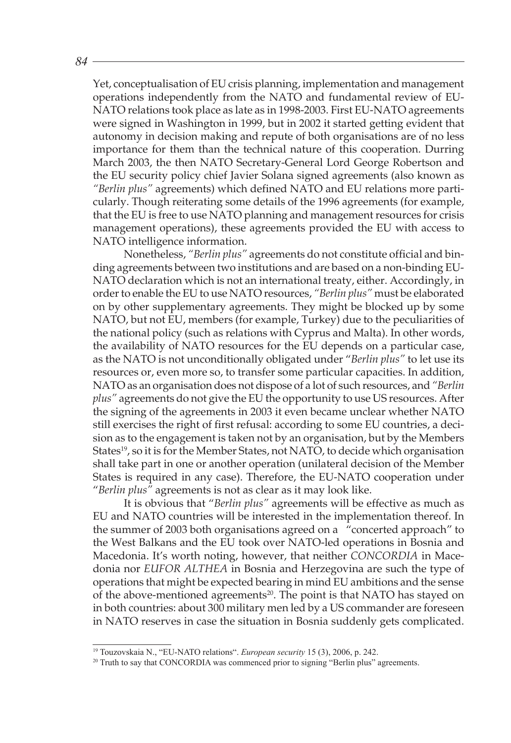Yet, conceptualisation of EU crisis planning, implementation and management operations independently from the NATO and fundamental review of EU-NATO relations took place as late as in 1998-2003. First EU-NATO agreements were signed in Washington in 1999, but in 2002 it started getting evident that autonomy in decision making and repute of both organisations are of no less importance for them than the technical nature of this cooperation. Durring March 2003, the then NATO Secretary-General Lord George Robertson and the EU security policy chief Javier Solana signed agreements (also known as *"Berlin plus"* agreements) which defined NATO and EU relations more particularly. Though reiterating some details of the 1996 agreements (for example, that the EU is free to use NATO planning and management resources for crisis management operations), these agreements provided the EU with access to NATO intelligence information.

Nonetheless, *"Berlin plus"* agreements do not constitute official and binding agreements between two institutions and are based on a non-binding EU-NATO declaration which is not an international treaty, either. Accordingly, in order to enable the EU to use NATO resources, *"Berlin plus"* must be elaborated on by other supplementary agreements. They might be blocked up by some NATO, but not EU, members (for example, Turkey) due to the peculiarities of the national policy (such as relations with Cyprus and Malta). In other words, the availability of NATO resources for the EU depends on a particular case, as the NATO is not unconditionally obligated under "*Berlin plus"* to let use its resources or, even more so, to transfer some particular capacities. In addition, NATO as an organisation does not dispose of a lot of such resources, and *"Berlin plus"* agreements do not give the EU the opportunity to use US resources. After the signing of the agreements in 2003 it even became unclear whether NATO still exercises the right of first refusal: according to some EU countries, a decision as to the engagement is taken not by an organisation, but by the Members States<sup>19</sup>, so it is for the Member States, not NATO, to decide which organisation shall take part in one or another operation (unilateral decision of the Member States is required in any case). Therefore, the EU-NATO cooperation under "*Berlin plus"* agreements is not as clear as it may look like.

It is obvious that "*Berlin plus"* agreements will be effective as much as EU and NATO countries will be interested in the implementation thereof. In the summer of 2003 both organisations agreed on a "concerted approach" to the West Balkans and the EU took over NATO-led operations in Bosnia and Macedonia. It's worth noting, however, that neither *CONCORDIA* in Macedonia nor *EUFOR ALTHEA* in Bosnia and Herzegovina are such the type of operations that might be expected bearing in mind EU ambitions and the sense of the above-mentioned agreements<sup>20</sup>. The point is that NATO has stayed on in both countries: about 300 military men led by a US commander are foreseen in NATO reserves in case the situation in Bosnia suddenly gets complicated.

<sup>&</sup>lt;sup>19</sup> Touzovskaia N., "EU-NATO relations". *European security* 15 (3), 2006, p. 242.

 $20$  Truth to say that CONCORDIA was commenced prior to signing "Berlin plus" agreements.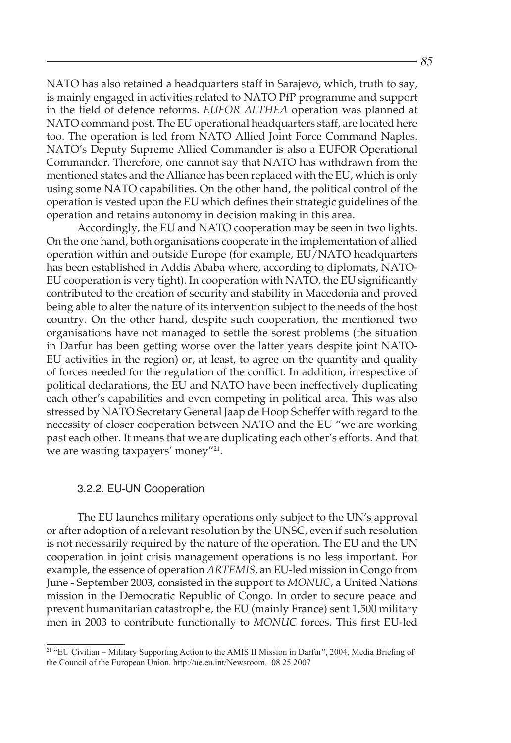NATO has also retained a headquarters staff in Sarajevo, which, truth to say, is mainly engaged in activities related to NATO PfP programme and support in the field of defence reforms. *EUFOR ALTHEA* operation was planned at NATO command post. The EU operational headquarters staff, are located here too. The operation is led from NATO Allied Joint Force Command Naples. NATO's Deputy Supreme Allied Commander is also a EUFOR Operational Commander. Therefore, one cannot say that NATO has withdrawn from the mentioned states and the Alliance has been replaced with the EU, which is only using some NATO capabilities. On the other hand, the political control of the operation is vested upon the EU which defines their strategic guidelines of the operation and retains autonomy in decision making in this area.

Accordingly, the EU and NATO cooperation may be seen in two lights. On the one hand, both organisations cooperate in the implementation of allied operation within and outside Europe (for example, EU/NATO headquarters has been established in Addis Ababa where, according to diplomats, NATO-EU cooperation is very tight). In cooperation with NATO, the EU significantly contributed to the creation of security and stability in Macedonia and proved being able to alter the nature of its intervention subject to the needs of the host country. On the other hand, despite such cooperation, the mentioned two organisations have not managed to settle the sorest problems (the situation in Darfur has been getting worse over the latter years despite joint NATO-EU activities in the region) or, at least, to agree on the quantity and quality of forces needed for the regulation of the conflict. In addition, irrespective of political declarations, the EU and NATO have been ineffectively duplicating each other's capabilities and even competing in political area. This was also stressed by NATO Secretary General Jaap de Hoop Scheffer with regard to the necessity of closer cooperation between NATO and the EU "we are working past each other. It means that we are duplicating each other's efforts. And that we are wasting taxpayers' money"<sup>21</sup>.

### 3.2.2. EU-UN Cooperation

The EU launches military operations only subject to the UN's approval or after adoption of a relevant resolution by the UNSC, even if such resolution is not necessarily required by the nature of the operation. The EU and the UN cooperation in joint crisis management operations is no less important. For example, the essence of operation *ARTEMIS,* an EU-led mission in Congo from June - September 2003, consisted in the support to *MONUC,* a United Nations mission in the Democratic Republic of Congo. In order to secure peace and prevent humanitarian catastrophe, the EU (mainly France) sent 1,500 military men in 2003 to contribute functionally to *MONUC* forces. This first EU-led

<sup>&</sup>lt;sup>21</sup> "EU Civilian – Military Supporting Action to the AMIS II Mission in Darfur", 2004, Media Briefing of the Council of the European Union. http://ue.eu.int/Newsroom. 08 25 2007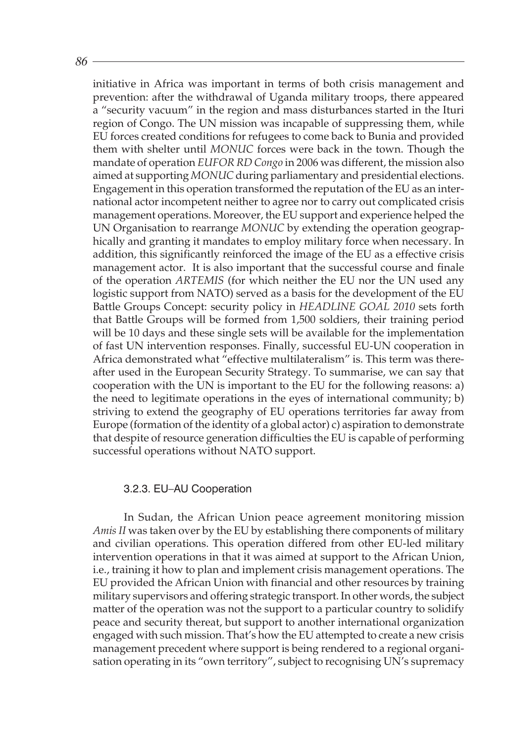initiative in Africa was important in terms of both crisis management and prevention: after the withdrawal of Uganda military troops, there appeared a "security vacuum" in the region and mass disturbances started in the Ituri region of Congo. The UN mission was incapable of suppressing them, while EU forces created conditions for refugees to come back to Bunia and provided them with shelter until *MONUC* forces were back in the town. Though the mandate of operation *EUFOR RD Congo* in 2006 was different, the mission also aimed at supporting *MONUC* during parliamentary and presidential elections. Engagement in this operation transformed the reputation of the EU as an international actor incompetent neither to agree nor to carry out complicated crisis management operations. Moreover, the EU support and experience helped the UN Organisation to rearrange *MONUC* by extending the operation geographically and granting it mandates to employ military force when necessary. In addition, this significantly reinforced the image of the EU as a effective crisis management actor. It is also important that the successful course and finale of the operation *ARTEMIS* (for which neither the EU nor the UN used any logistic support from NATO) served as a basis for the development of the EU Battle Groups Concept: security policy in *HEADLINE GOAL 2010* sets forth that Battle Groups will be formed from 1,500 soldiers, their training period will be 10 days and these single sets will be available for the implementation of fast UN intervention responses. Finally, successful EU-UN cooperation in Africa demonstrated what "effective multilateralism" is. This term was thereafter used in the European Security Strategy. To summarise, we can say that cooperation with the UN is important to the EU for the following reasons: a) the need to legitimate operations in the eyes of international community; b) striving to extend the geography of EU operations territories far away from Europe (formation of the identity of a global actor) c) aspiration to demonstrate that despite of resource generation difficulties the EU is capable of performing successful operations without NATO support.

#### 3.2.3. EU–AU Cooperation

In Sudan, the African Union peace agreement monitoring mission *Amis II* was taken over by the EU by establishing there components of military and civilian operations. This operation differed from other EU-led military intervention operations in that it was aimed at support to the African Union, i.e., training it how to plan and implement crisis management operations. The EU provided the African Union with financial and other resources by training military supervisors and offering strategic transport. In other words, the subject matter of the operation was not the support to a particular country to solidify peace and security thereat, but support to another international organization engaged with such mission. That's how the EU attempted to create a new crisis management precedent where support is being rendered to a regional organisation operating in its "own territory", subject to recognising UN's supremacy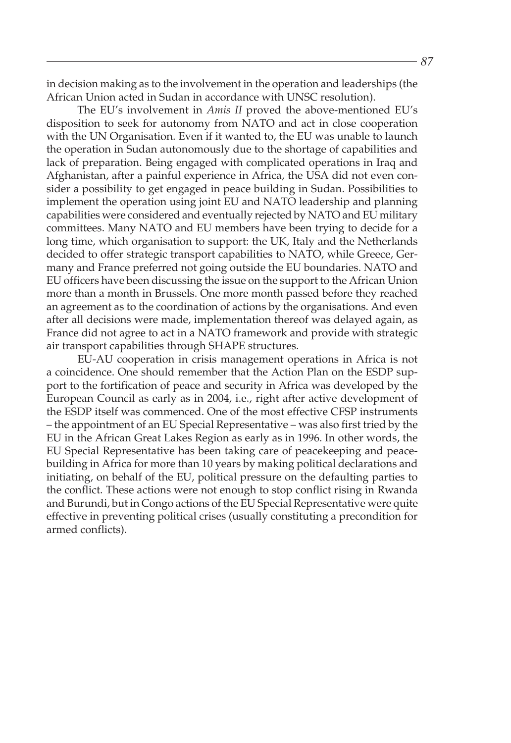in decision making as to the involvement in the operation and leaderships (the African Union acted in Sudan in accordance with UNSC resolution).

The EU's involvement in *Amis II* proved the above-mentioned EU's disposition to seek for autonomy from NATO and act in close cooperation with the UN Organisation. Even if it wanted to, the EU was unable to launch the operation in Sudan autonomously due to the shortage of capabilities and lack of preparation. Being engaged with complicated operations in Iraq and Afghanistan, after a painful experience in Africa, the USA did not even consider a possibility to get engaged in peace building in Sudan. Possibilities to implement the operation using joint EU and NATO leadership and planning capabilities were considered and eventually rejected by NATO and EU military committees. Many NATO and EU members have been trying to decide for a long time, which organisation to support: the UK, Italy and the Netherlands decided to offer strategic transport capabilities to NATO, while Greece, Germany and France preferred not going outside the EU boundaries. NATO and EU officers have been discussing the issue on the support to the African Union more than a month in Brussels. One more month passed before they reached an agreement as to the coordination of actions by the organisations. And even after all decisions were made, implementation thereof was delayed again, as France did not agree to act in a NATO framework and provide with strategic air transport capabilities through SHAPE structures.

EU-AU cooperation in crisis management operations in Africa is not a coincidence. One should remember that the Action Plan on the ESDP support to the fortification of peace and security in Africa was developed by the European Council as early as in 2004, i.e., right after active development of the ESDP itself was commenced. One of the most effective CFSP instruments – the appointment of an EU Special Representative – was also first tried by the EU in the African Great Lakes Region as early as in 1996. In other words, the EU Special Representative has been taking care of peacekeeping and peacebuilding in Africa for more than 10 years by making political declarations and initiating, on behalf of the EU, political pressure on the defaulting parties to the conflict. These actions were not enough to stop conflict rising in Rwanda and Burundi, but in Congo actions of the EU Special Representative were quite effective in preventing political crises (usually constituting a precondition for armed conflicts).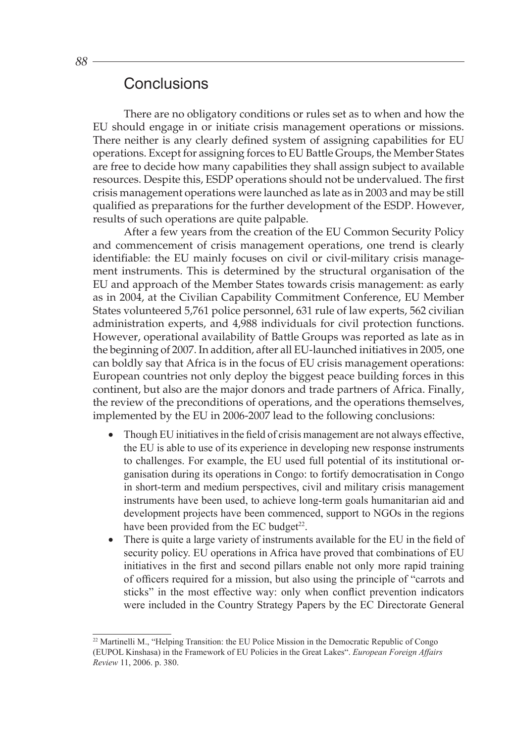# **Conclusions**

There are no obligatory conditions or rules set as to when and how the EU should engage in or initiate crisis management operations or missions. There neither is any clearly defined system of assigning capabilities for EU operations. Except for assigning forces to EU Battle Groups, the Member States are free to decide how many capabilities they shall assign subject to available resources. Despite this, ESDP operations should not be undervalued. The first crisis management operations were launched as late as in 2003 and may be still qualified as preparations for the further development of the ESDP. However, results of such operations are quite palpable.

After a few years from the creation of the EU Common Security Policy and commencement of crisis management operations, one trend is clearly identifiable: the EU mainly focuses on civil or civil-military crisis management instruments. This is determined by the structural organisation of the EU and approach of the Member States towards crisis management: as early as in 2004, at the Civilian Capability Commitment Conference, EU Member States volunteered 5,761 police personnel, 631 rule of law experts, 562 civilian administration experts, and 4,988 individuals for civil protection functions. However, operational availability of Battle Groups was reported as late as in the beginning of 2007. In addition, after all EU-launched initiatives in 2005, one can boldly say that Africa is in the focus of EU crisis management operations: European countries not only deploy the biggest peace building forces in this continent, but also are the major donors and trade partners of Africa. Finally, the review of the preconditions of operations, and the operations themselves, implemented by the EU in 2006-2007 lead to the following conclusions:

- Though EU initiatives in the field of crisis management are not always effective, the EU is able to use of its experience in developing new response instruments to challenges. For example, the EU used full potential of its institutional organisation during its operations in Congo: to fortify democratisation in Congo in short-term and medium perspectives, civil and military crisis management instruments have been used, to achieve long-term goals humanitarian aid and development projects have been commenced, support to NGOs in the regions have been provided from the EC budget $^{22}$ .
- There is quite a large variety of instruments available for the EU in the field of security policy. EU operations in Africa have proved that combinations of EU initiatives in the first and second pillars enable not only more rapid training of officers required for a mission, but also using the principle of "carrots and sticks" in the most effective way: only when conflict prevention indicators were included in the Country Strategy Papers by the EC Directorate General

<sup>&</sup>lt;sup>22</sup> Martinelli M., "Helping Transition: the EU Police Mission in the Democratic Republic of Congo (EUPOL Kinshasa) in the Framework of EU Policies in the Great Lakes". *European Foreign Affairs Review* 11, 2006. p. 380.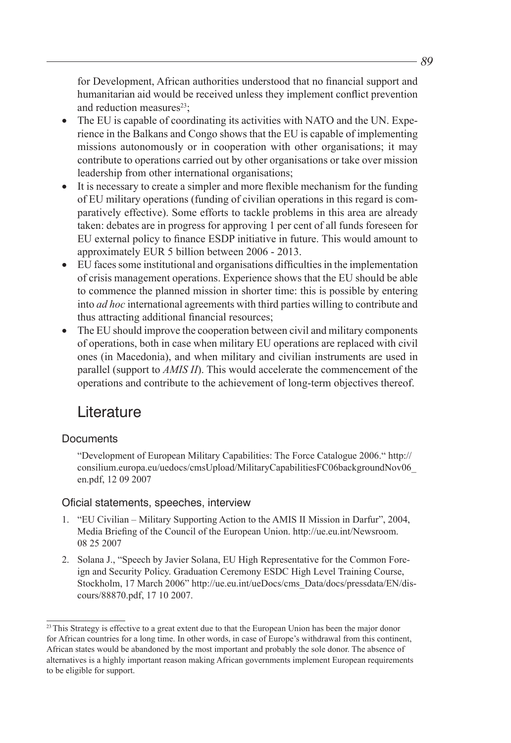for Development, African authorities understood that no financial support and humanitarian aid would be received unless they implement conflict prevention and reduction measures $^{23}$ ;

- The EU is capable of coordinating its activities with NATO and the UN. Experience in the Balkans and Congo shows that the EU is capable of implementing missions autonomously or in cooperation with other organisations; it may contribute to operations carried out by other organisations or take over mission leadership from other international organisations;
- It is necessary to create a simpler and more flexible mechanism for the funding of EU military operations (funding of civilian operations in this regard is comparatively effective). Some efforts to tackle problems in this area are already taken: debates are in progress for approving 1 per cent of all funds foreseen for EU external policy to finance ESDP initiative in future. This would amount to approximately EUR 5 billion between 2006 - 2013.
- EU faces some institutional and organisations difficulties in the implementation of crisis management operations. Experience shows that the EU should be able to commence the planned mission in shorter time: this is possible by entering into *ad hoc* international agreements with third parties willing to contribute and thus attracting additional financial resources;
- The EU should improve the cooperation between civil and military components of operations, both in case when military EU operations are replaced with civil ones (in Macedonia), and when military and civilian instruments are used in parallel (support to *AMIS II*). This would accelerate the commencement of the operations and contribute to the achievement of long-term objectives thereof.

# **Literature**

## **Documents**

1. "Development of European Military Capabilities: The Force Catalogue 2006." http:// consilium.europa.eu/uedocs/cmsUpload/MilitaryCapabilitiesFC06backgroundNov06\_ en.pdf, 12 09 2007

### Oficial statements, speeches, interview

- 1. "EU Civilian Military Supporting Action to the AMIS II Mission in Darfur", 2004, Media Briefing of the Council of the European Union. http://ue.eu.int/Newsroom. 08 25 2007
- 2. Solana J., "Speech by Javier Solana, EU High Representative for the Common Foreign and Security Policy. Graduation Ceremony ESDC High Level Training Course, Stockholm, 17 March 2006" http://ue.eu.int/ueDocs/cms\_Data/docs/pressdata/EN/discours/88870.pdf, 17 10 2007.

<sup>&</sup>lt;sup>23</sup> This Strategy is effective to a great extent due to that the European Union has been the major donor for African countries for a long time. In other words, in case of Europe's withdrawal from this continent, African states would be abandoned by the most important and probably the sole donor. The absence of alternatives is a highly important reason making African governments implement European requirements to be eligible for support.